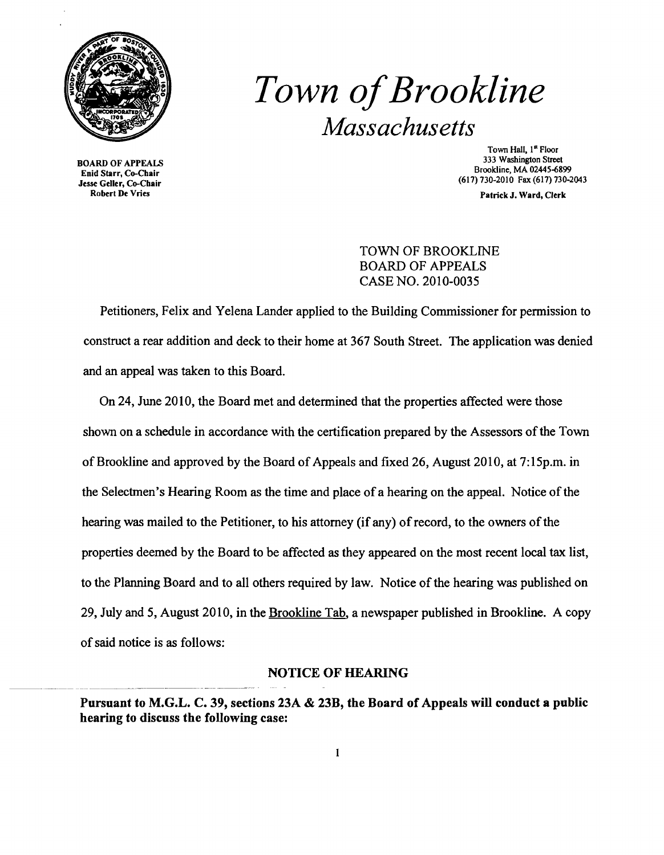

# Town of Brookline *Massachusetts*

Enid Starr, Co-Chair<br>Jesse Geller, Co-Chair

Town Hall, 1<sup>st</sup> Floor<br>333 Washington Street 333 Washington Street 333 Washington Street 333 Washington Street<br>Enid Store Co Chair (617) 730-2010 Fax (617) 730-2043<br>se Geller, Co-Chair<br>Robert De Vries Jesse Jesse Geller, Co-Chair

Patrick J. Ward, Clerk

## TOWN OF BROOKLINE BOARD OF APPEALS CASE NO. 2010-0035

Petitioners, Felix and Yelena Lander applied to the Building Commissioner for permission to construct a rear addition and deck to their home at 367 South Street. The application was denied and an appeal was taken to this Board.

On 24, June 2010, the Board met and determined that the properties affected were those shown on a schedule in accordance with the certification prepared by the Assessors of the Town of Brookline and approved by the Board of Appeals and fixed 26, August 2010, at 7:15p.m. in the Selectmen's Hearing Room as the time and place of a hearing on the appeal. Notice of the hearing was mailed to the Petitioner, to his attorney (if any) of record, to the owners of the properties deemed by the Board to be affected as they appeared on the most recent local tax list, to the Planning Board and to all others required by law. Notice of the hearing was published on 29, July and 5, August 2010, in the Brookline Tab, a newspaper published in Brookline. A copy ofsaid notice is as follows:

#### NOTICE OF HEARING

Pursuant to M.G.L. C. 39, sections 23A & 23B, the Board of Appeals will conduct a public hearing to discuss the following case: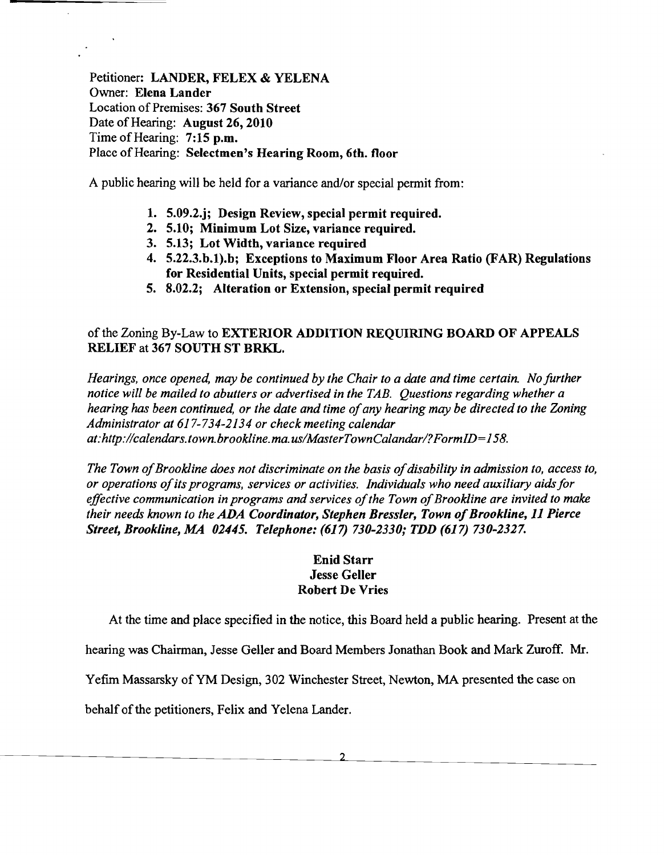Petitioner: LANDER, FELEX & YELENA Owner: Elena Lander Location of Premises: 367 South Street Date of Hearing: August 26, 2010 Time of Hearing: 7:15 p.m. Place of Hearing: Selectmen's Hearing Room, 6th. floor

A public hearing will be held for a variance and/or special permit from:

- 1. 5.09.2.j; Design Review, special permit required.
- 2. 5.10; Minimum Lot Size, variance required.
- 3. 5.13; Lot Width, variance required
- 4. 5.22.3.b.1).b; Exceptions to Maximum Floor Area Ratio (FAR) Regulations for Residential Units, special permit required.
- 5. 8.02.2; Alteration or Extension, special permit required

# of the Zoning By-Law to EXTERIOR ADDITION REQUIRING BOARD OF APPEALS RELIEF at 367 SOUTH ST BRKL.

*Hearings, once opened, may be continued by the Chair to a date and time certain. No further notice will be mailed to abutters or advertised in the TAB. Questions regarding whether a hearing has been continued, or the date and time of any hearing may be directed to the Zoning Administrator at* 617-734-2134 *or check meeting calendar at:http://calendars.town.brookline.ma.usIMasterTownCalandarl?FormID=158.* 

*The Town of Brookline does not discriminate on the basis of disability in admission to, access to, or operations ofits programs, services or activities. Individuals who need auxiliary aidsfor*  effective communication in programs and services of the Town of Brookline are invited to make *their needs known to the ADA Coordinator, Stephen Bressler, Town of Brookline, 11 Pierce Street, Brookline, MA 02445. Telephone:* (617) *730-2330; TDD* (617) *730-2327.* 

## Enid Starr Jesse Geller Robert De Vries

At the time and place specified in the notice, this Board held a public hearing. Present at the

hearing was Chairman, Jesse Geller and Board Members Jonathan Book and Mark Zuroff. Mr.

Yefim Massarsky of YM Design, 302 Winchester Street, Newton, MA presented the case on

behalf of the petitioners, Felix and Yelena Lander.

 $\mathfrak{D}$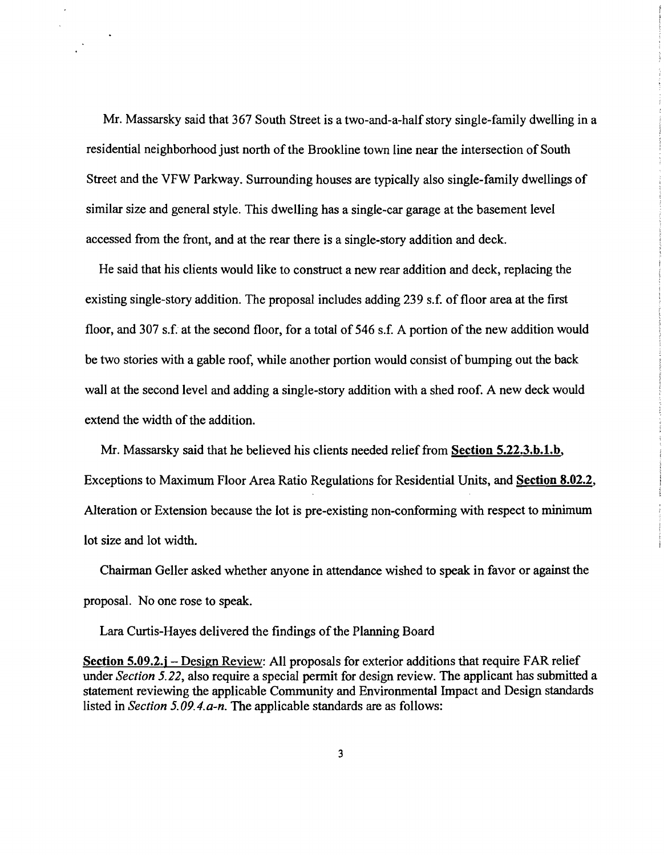Mr. Massarsky said that 367 South Street is a two-and-a-half story single-family dwelling in a residential neighborhood just north of the Brookline town line near the intersection of South Street and the VFW Parkway. Surrounding houses are typically also single-family dwellings of similar size and general style. This dwelling has a single-car garage at the basement level accessed from the front, and at the rear there is a single-story addition and deck.

He said that his clients would like to construct a new rear addition and deck, replacing the existing single-story addition. The proposal includes adding 239 s.f. of floor area at the first floor, and 307 s.f. at the second floor, for a total of 546 s.f. A portion of the new addition would be two stories with a gable roof, while another portion would consist of bumping out the back wall at the second level and adding a single-story addition with a shed roof. A new deck would extend the width of the addition.

Mr. Massarsky said that he believed his clients needed relief from Section 5.22.3.b.l.b, Exceptions to Maximum Floor Area Ratio Regulations for Residential Units, and Section 8.02.2, Alteration or Extension because the lot is pre-existing non-conforming with respect to minimum lot size and lot width.

Chairman Geller asked whether anyone in attendance wished to speak in favor or against the proposal. No one rose to speak.

Lara Curtis-Hayes delivered the findings of the Planning Board

Section 5.09.2.j – Design Review: All proposals for exterior additions that require FAR relief under *Section* 5.22, also require a special permit for design review. The applicant has submitted a statement reviewing the applicable Community and Environmental Impact and Design standards listed in *Section 5.09.4.a-n.* The applicable standards are as follows: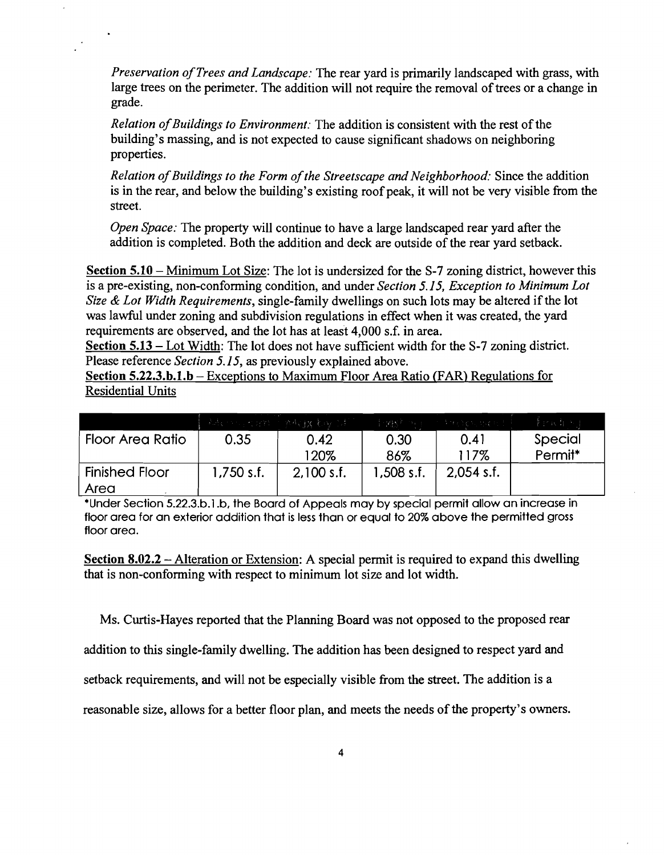*Preservation ofTrees and Landscape:* The rear yard is primarily landscaped with grass, with large trees on the perimeter. The addition will not require the removal of trees or a change in grade.

*Relation of Buildings to Environment:* The addition is consistent with the rest of the building's massing, and is not expected to cause significant shadows on neighboring properties.

*Relation ofBuildings to the Form ofthe Streetscape and Neighborhood:* Since the addition is in the rear, and below the building's existing roof peak, it will not be very visible from the street.

*Open Space:* The property will continue to have a large landscaped rear yard after the addition is completed. Both the addition and deck are outside of the rear yard setback.

Section 5.10 – Minimum Lot Size: The lot is undersized for the S-7 zoning district, however this is a pre-existing, non-conforming condition, and under *Section* 5.15, *Exception to Minimum Lot Size* & *Lot Width Requirements,* single-family dwellings on such lots may be altered if the lot was lawful under zoning and subdivision regulations in effect when it was created, the yard requirements are observed, and the lot has at least 4,000 s.f. in area.

Section 5.13 - Lot Width: The lot does not have sufficient width for the S-7 zoning district. Please reference *Section* 5.15, as previously explained above.

Section 5.22.3.b.l.b - Exceptions to Maximum Floor Area Ratio (FAR) Regulations for Residential Units

|                       |            | 「福祉の用力理論」 感報 救 あみじおし |            | 李鸿辉 みず こうきんばんばいし | 李环武士的王  |
|-----------------------|------------|----------------------|------------|------------------|---------|
| Floor Area Ratio      | 0.35       | 0.42                 | 0.30       | 0.41             | Special |
|                       |            | 120%                 | 86%        | 117%             | Permit* |
| <b>Finished Floor</b> | 1,750 s.f. | $2,100$ s.f.         | 1,508 s.f. | $2,054$ s.f.     |         |
| Area                  |            |                      |            |                  |         |

·Under Section 5.22.3.b.l.b, the Board of Appeals may by special permit allow an increase in floor area for an exterior addition that is less than or equal to 20% above the permitted gross floor area.

Section 8.02.2 – Alteration or Extension: A special permit is required to expand this dwelling that is non-conforming with respect to minimum lot size and lot width.

Ms. Curtis-Hayes reported that the Planning Board was not opposed to the proposed rear

addition to this single-family dwelling. The addition has been designed to respect yard and

setback requirements, and will not be especially visible from the street. The addition is a

reasonable size, allows for a better floor plan, and meets the needs of the property's owners.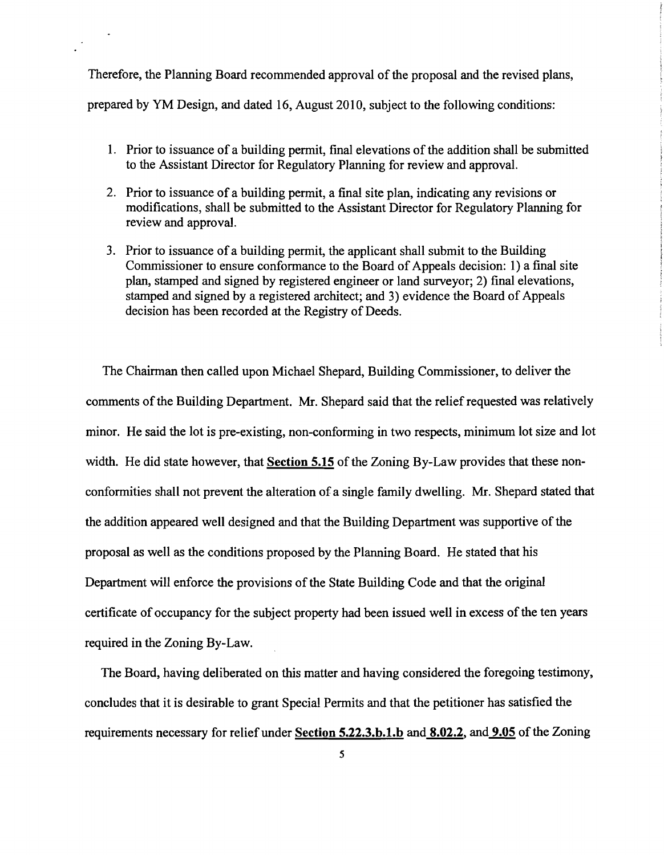Therefore, the Planning Board recommended approval of the proposal and the revised plans, prepared by YM Design, and dated 16, August 2010, subject to the following conditions:

- 1. Prior to issuance of a building permit, final elevations of the addition shall be submitted to the Assistant Director for Regulatory Planning for review and approval.
- 2. Prior to issuance of a building permit, a final site plan, indicating any revisions or modifications, shall be submitted to the Assistant Director for Regulatory Planning for review and approval.
- 3. Prior to issuance of a building permit, the applicant shall submit to the Building Commissioner to ensure conformance to the Board of Appeals decision: 1) a final site plan, stamped and signed by registered engineer or land surveyor; 2) final elevations, stamped and signed by a registered architect; and 3) evidence the Board of Appeals decision has been recorded at the Registry of Deeds.

The Chairman then called upon Michael Shepard, Building Commissioner, to deliver the comments of the Building Department. Mr. Shepard said that the relief requested was relatively minor. He said the lot is pre-existing, non-conforming in two respects, minimum lot size and lot width. He did state however, that Section 5.15 of the Zoning By-Law provides that these nonconformities shall not prevent the alteration of a single family dwelling. Mr. Shepard stated that the addition appeared well designed and that the Building Department was supportive of the proposal as well as the conditions proposed by the Planning Board. He stated that his Department will enforce the provisions of the State Building Code and that the original certificate of occupancy for the subject property had been issued well in excess of the ten years required in the Zoning By-Law.

The Board, having deliberated on this matter and having considered the foregoing testimony, concludes that it is desirable to grant Special Permits and that the petitioner has satisfied the requirements necessary for relief under Section 5.22.3.b.1.b and 8.02.2, and 9.05 of the Zoning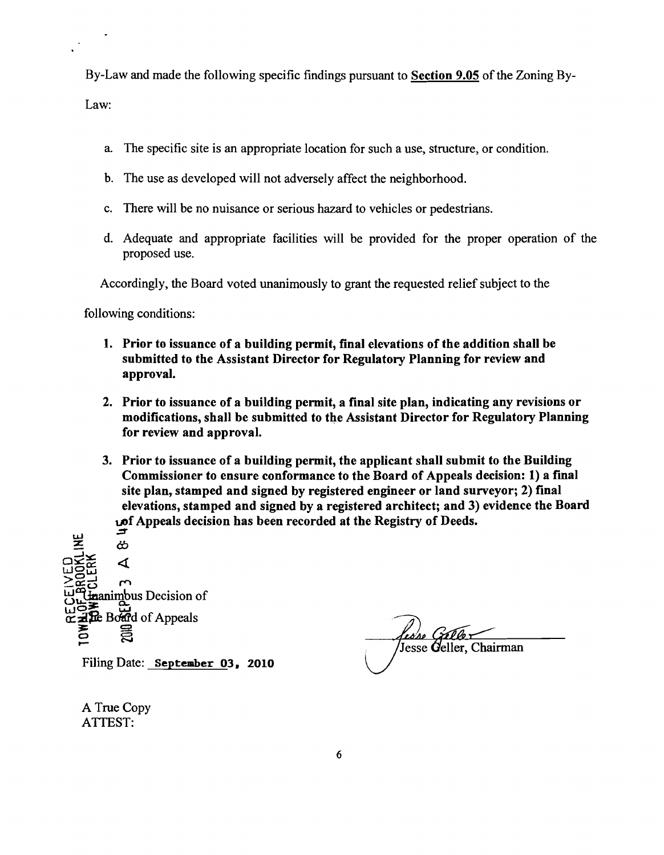By-Law and made the following specific findings pursuant to Section 9.05 ofthe Zoning By-Law:

- a. The specific site is an appropriate location for such a use, structure, or condition.
- b. The use as developed will not adversely affect the neighborhood.
- c. There will be no nuisance or serious hazard to vehicles or pedestrians.
- d. Adequate and appropriate facilities will be provided for the proper operation of the proposed use.

Accordingly, the Board voted unanimously to grant the requested relief subject to the

following conditions:

- 1. Prior to issuance of a building permit, final elevations of the addition shall be submitted to the Assistant Director for Regulatory Planning for review and approval.
- 2. Prior to issuance of a building permit, a final site plan, indicating any revisions or modifications, shall be submitted to the Assistant Director for Regulatory Planning for review and approval.
- 3. Prior to issuance of a building permit, the applicant shall submit to the Building Commissioner to ensure conformance to the Board of Appeals decision: 1) a final site plan, stamped and signed by registered engineer or land surveyor; 2) final elevations, stamped and signed by a registered architect; and 3) evidence the Board  $\mathbf{L}$ f Appeals decision has been recorded at the Registry of Deeds.

.;::j' uJ :z: *Cb*   $\frac{1}{2}$  work  $\frac{1}{2}$ *OW*   $\geq$ င်းဌာ $\sim$  .  $\sim$  $\overline{w}$   $\overline{w}$   $\overline{w}$  animbus Decision of  $\Xi$  : Bo and of Appeals  $\Xi$ o Filing Date: September 03, 2010

esse Ce Jesse Geller, Chairman

A True Copy ATTEST: